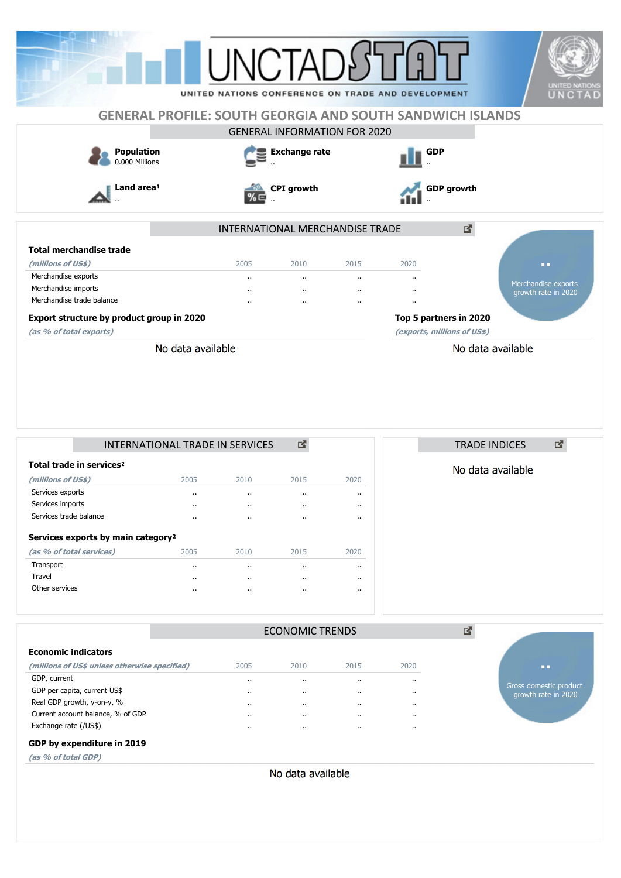|                                                                  | INC                  |                                     |                      | UNITED NATIONS CONFERENCE ON TRADE AND DEVELOPMENT | <b>UNITED NATION</b><br>UNCTAD             |
|------------------------------------------------------------------|----------------------|-------------------------------------|----------------------|----------------------------------------------------|--------------------------------------------|
| <b>GENERAL PROFILE: SOUTH GEORGIA AND SOUTH SANDWICH ISLANDS</b> |                      |                                     |                      |                                                    |                                            |
|                                                                  |                      | <b>GENERAL INFORMATION FOR 2020</b> |                      |                                                    |                                            |
| <b>Population</b><br>0.000 Millions                              |                      | <b>Exchange rate</b>                |                      | <b>GDP</b>                                         |                                            |
| Land area!                                                       | $\blacksquare$       | <b>CPI</b> growth                   |                      | <b>GDP</b> growth                                  |                                            |
|                                                                  |                      | INTERNATIONAL MERCHANDISE TRADE     |                      |                                                    | 図                                          |
| <b>Total merchandise trade</b>                                   |                      |                                     |                      |                                                    |                                            |
| (millions of US\$)                                               | 2005                 | 2010                                | 2015                 | 2020                                               | D.                                         |
| Merchandise exports                                              | $\cdot$ .            | $\ddot{\phantom{a}}$                | $\ddot{\phantom{a}}$ | $\ddot{\phantom{a}}$                               |                                            |
| Merchandise imports                                              |                      | $\cdot$                             | $\ddot{\phantom{a}}$ | $\cdot$                                            | Merchandise exports<br>growth rate in 2020 |
| Merchandise trade balance                                        | $\ddot{\phantom{a}}$ | $\ddot{\phantom{a}}$                | $\ddot{\phantom{a}}$ | $\cdot$ .                                          |                                            |
| Export structure by product group in 2020                        |                      |                                     |                      | Top 5 partners in 2020                             |                                            |
| (as % of total exports)                                          |                      |                                     |                      | (exports, millions of US\$)                        |                                            |
| No data available                                                |                      |                                     |                      |                                                    | No data available                          |

|                                                | INTERNATIONAL TRADE IN SERVICES      |      |                      |           |      |  |  |  |
|------------------------------------------------|--------------------------------------|------|----------------------|-----------|------|--|--|--|
|                                                | Total trade in services <sup>2</sup> |      |                      |           |      |  |  |  |
| (millions of US\$)                             |                                      | 2005 | 2010                 | 2015      | 2020 |  |  |  |
| Services exports                               |                                      |      |                      |           |      |  |  |  |
| Services imports                               |                                      |      | $\ddot{\phantom{0}}$ |           |      |  |  |  |
| Services trade balance                         |                                      |      | $\ddot{\phantom{0}}$ |           |      |  |  |  |
| Services exports by main category <sup>2</sup> |                                      |      |                      |           |      |  |  |  |
| (as % of total services)                       |                                      | 2005 | 2010                 | 2015      | 2020 |  |  |  |
| Transport                                      |                                      |      | $\ddot{\phantom{a}}$ |           |      |  |  |  |
| Travel                                         |                                      |      | $\ddot{\phantom{0}}$ |           |      |  |  |  |
| Other services                                 |                                      |      | $\ddot{\phantom{a}}$ | $\cdot$ . |      |  |  |  |

# $\mathbb{Z}$ TRADE INDICES No data available

|                                                   |                      | <b>ECONOMIC TRENDS</b> |           |      | B                                             |
|---------------------------------------------------|----------------------|------------------------|-----------|------|-----------------------------------------------|
| <b>Economic indicators</b>                        |                      |                        |           |      |                                               |
| (millions of US\$ unless otherwise specified)     | 2005                 | 2010                   | 2015      | 2020 | ш                                             |
| GDP, current                                      | $\cdots$             | $\cdot$ .              | $\cdot$   |      |                                               |
| GDP per capita, current US\$                      | $\cdots$             | $\cdot$ .              | $\cdots$  |      | Gross domestic product<br>growth rate in 2020 |
| Real GDP growth, y-on-y, %                        | $\ddot{\phantom{0}}$ | $\cdot$ .              | $\cdot$ . |      |                                               |
| Current account balance, % of GDP                 | $\cdots$             | $\cdot$ .              | $\cdots$  |      |                                               |
| Exchange rate (/US\$)                             | $\cdots$             | $\cdot$ .              | $\cdots$  |      |                                               |
| GDP by expenditure in 2019                        |                      |                        |           |      |                                               |
| $(a \circ a) \circ (b \circ b) \circ (c \circ b)$ |                      |                        |           |      |                                               |

**(as % of total GDP)**

No data available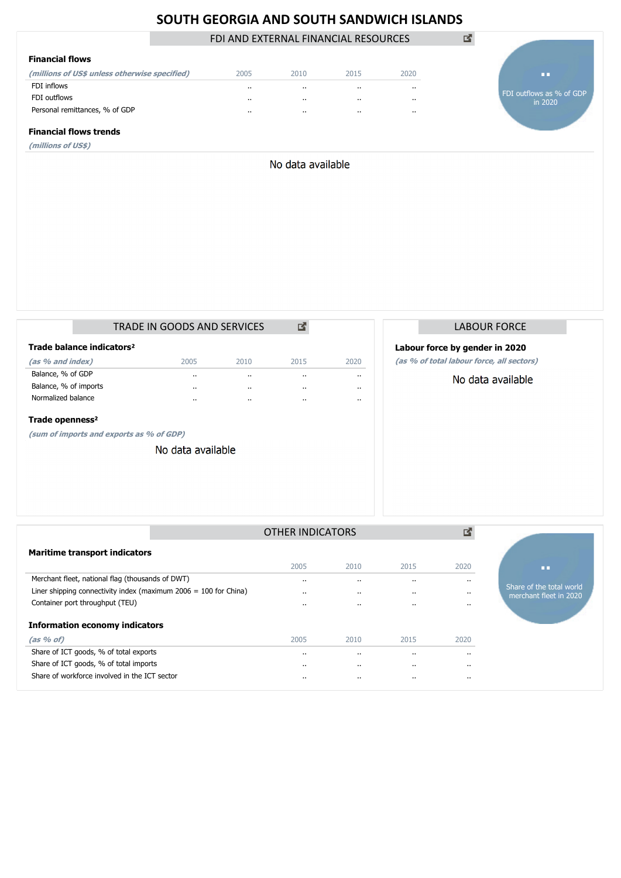## **SOUTH GEORGIA AND SOUTH SANDWICH ISLANDS**

FDI AND EXTERNAL FINANCIAL RESOURCES

図

| <b>Financial flows</b>                        |           |      |           |           |
|-----------------------------------------------|-----------|------|-----------|-----------|
| (millions of US\$ unless otherwise specified) | 2005      | 2010 | 2015      | 2020      |
| FDI inflows                                   | $\cdot$ . |      | $\cdot$ . | $\cdots$  |
| FDI outflows                                  |           |      | $\cdot$ . | $\cdot$ . |
| Personal remittances, % of GDP                | $\cdot$ . |      | $\cdot$ . | $\cdots$  |

#### **Financial flows trends**

**(millions of US\$)**

No data available

|                             |                                       | TRADE IN GOODS AND SERVICES |           |         |      |  |  |  |
|-----------------------------|---------------------------------------|-----------------------------|-----------|---------|------|--|--|--|
|                             | Trade balance indicators <sup>2</sup> |                             |           |         |      |  |  |  |
| (as % and index)            |                                       | 2005                        | 2010      | 2015    | 2020 |  |  |  |
| Balance, % of GDP           |                                       | $\cdot$ .                   | $\cdot$   |         |      |  |  |  |
| Balance, % of imports       |                                       | $\cdot$ .                   | $\cdot$ . |         |      |  |  |  |
| Normalized balance          |                                       |                             | $\cdot$ . | $\cdot$ |      |  |  |  |
| Trade openness <sup>2</sup> |                                       |                             |           |         |      |  |  |  |

**(sum of imports and exports as % of GDP)**

No data available

| LABOUR FORCE |  |  |
|--------------|--|--|
|              |  |  |

### **Labour force by gender in 2020**

**(as % of total labour force, all sectors)**

No data available

|                                                                    | OTHER INDICATORS     |          |                      | B        |                                                    |
|--------------------------------------------------------------------|----------------------|----------|----------------------|----------|----------------------------------------------------|
| <b>Maritime transport indicators</b>                               |                      |          |                      |          |                                                    |
|                                                                    | 2005                 | 2010     | 2015                 | 2020     | ш                                                  |
| Merchant fleet, national flag (thousands of DWT)                   | $\ddot{\phantom{0}}$ | $\cdot$  | $\ddot{\phantom{a}}$ | $\cdots$ |                                                    |
| Liner shipping connectivity index (maximum $2006 = 100$ for China) | $\cdot$ .            | $\cdots$ | $\cdot$              | $\cdots$ | Share of the total world<br>merchant fleet in 2020 |
| Container port throughput (TEU)                                    | $\cdots$             | $\cdots$ | $\cdot$              | $\cdots$ |                                                    |
| <b>Information economy indicators</b>                              |                      |          |                      |          |                                                    |
| $(as % of)$                                                        | 2005                 | 2010     | 2015                 | 2020     |                                                    |
| Share of ICT goods, % of total exports                             | $\cdot$ .            | $\cdots$ |                      | $\cdots$ |                                                    |
| Share of ICT goods, % of total imports                             | $\cdots$             | $\cdots$ | $\cdot$              | $\cdots$ |                                                    |
| Share of workforce involved in the ICT sector                      | $\cdot$ .            | $\cdots$ |                      | $\cdots$ |                                                    |